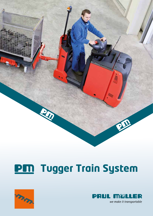



# **PM** Tugger Train System

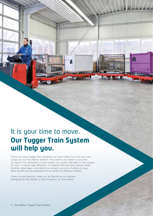## It is your time to move. **Our Tugger Train System will help you.**

There are many Tugger Train Systems out there today, but only one is as unique as the Paul Müller System. The system can attach to any kind of tractor. This versatility is what makes our system the best on the market. For you, it means high efficiency in material flow and less vehicle traffic. Another advantage is the ability to connect up to six shuttles at once. Each Shuttle can be equipped with a variety of different trolleys.

These unique features make you as flexible as our system. Designed by Paul Müller, a real innovation on the market.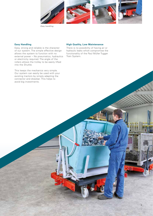

*Easy handling*

#### **Easy Handling**

Easy, strong and reliable is the character of our system. The simple effective design allows the system to function with no external power – No pneumatics, hydraulics or electricity required. The angle of the rollers allows the trolley to be easily lifted into the Shuttle.

This keeps the mechanics very simple. Our system can easily be used with your existing tractors by simply adapting the connector and drawbar. This helps to avoid big investments.

#### **High Quality, Low Maintenance**

There is no possibility of having air or hydraulic leaks which compromise the functionality of the Paul Müller Tugger Train System.